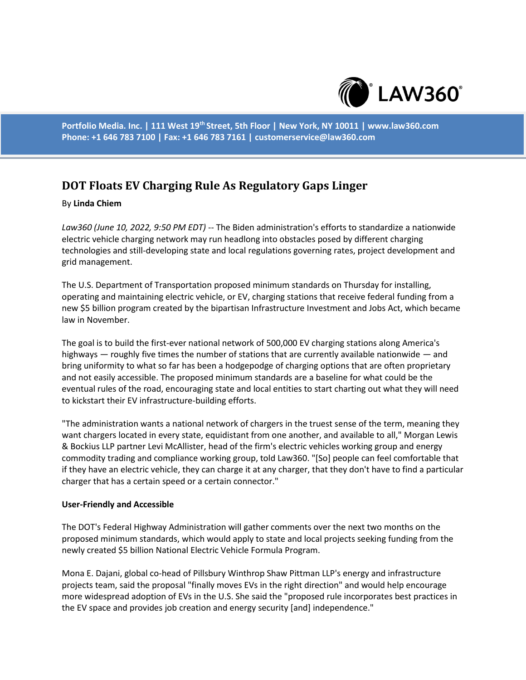

**Portfolio Media. Inc. | 111 West 19th Street, 5th Floor | New York, NY 10011 | www.law360.com Phone: +1 646 783 7100 | Fax: +1 646 783 7161 | customerservice@law360.com**

# **DOT Floats EV Charging Rule As Regulatory Gaps Linger**

### By **Linda Chiem**

*Law360 (June 10, 2022, 9:50 PM EDT)* -- The Biden administration's efforts to standardize a nationwide electric vehicle charging network may run headlong into obstacles posed by different charging technologies and still-developing state and local regulations governing rates, project development and grid management.

The U.S. Department of Transportation proposed minimum standards on Thursday for installing, operating and maintaining electric vehicle, or EV, charging stations that receive federal funding from a new \$5 billion program created by the bipartisan Infrastructure Investment and Jobs Act, which became law in November.

The goal is to build the first-ever national network of 500,000 EV charging stations along America's highways — roughly five times the number of stations that are currently available nationwide — and bring uniformity to what so far has been a hodgepodge of charging options that are often proprietary and not easily accessible. The proposed minimum standards are a baseline for what could be the eventual rules of the road, encouraging state and local entities to start charting out what they will need to kickstart their EV infrastructure-building efforts.

"The administration wants a national network of chargers in the truest sense of the term, meaning they want chargers located in every state, equidistant from one another, and available to all," Morgan Lewis & Bockius LLP partner Levi McAllister, head of the firm's electric vehicles working group and energy commodity trading and compliance working group, told Law360. "[So] people can feel comfortable that if they have an electric vehicle, they can charge it at any charger, that they don't have to find a particular charger that has a certain speed or a certain connector."

#### **User-Friendly and Accessible**

The DOT's Federal Highway Administration will gather comments over the next two months on the proposed minimum standards, which would apply to state and local projects seeking funding from the newly created \$5 billion National Electric Vehicle Formula Program.

Mona E. Dajani, global co-head of Pillsbury Winthrop Shaw Pittman LLP's energy and infrastructure projects team, said the proposal "finally moves EVs in the right direction" and would help encourage more widespread adoption of EVs in the U.S. She said the "proposed rule incorporates best practices in the EV space and provides job creation and energy security [and] independence."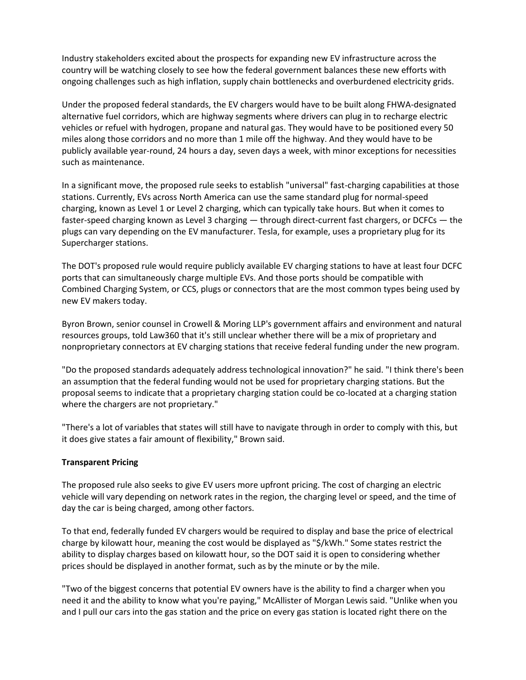Industry stakeholders excited about the prospects for expanding new EV infrastructure across the country will be watching closely to see how the federal government balances these new efforts with ongoing challenges such as high inflation, supply chain bottlenecks and overburdened electricity grids.

Under the proposed federal standards, the EV chargers would have to be built along FHWA-designated alternative fuel corridors, which are highway segments where drivers can plug in to recharge electric vehicles or refuel with hydrogen, propane and natural gas. They would have to be positioned every 50 miles along those corridors and no more than 1 mile off the highway. And they would have to be publicly available year-round, 24 hours a day, seven days a week, with minor exceptions for necessities such as maintenance.

In a significant move, the proposed rule seeks to establish "universal" fast-charging capabilities at those stations. Currently, EVs across North America can use the same standard plug for normal-speed charging, known as Level 1 or Level 2 charging, which can typically take hours. But when it comes to faster-speed charging known as Level 3 charging — through direct-current fast chargers, or DCFCs — the plugs can vary depending on the EV manufacturer. Tesla, for example, uses a proprietary plug for its Supercharger stations.

The DOT's proposed rule would require publicly available EV charging stations to have at least four DCFC ports that can simultaneously charge multiple EVs. And those ports should be compatible with Combined Charging System, or CCS, plugs or connectors that are the most common types being used by new EV makers today.

Byron Brown, senior counsel in Crowell & Moring LLP's government affairs and environment and natural resources groups, told Law360 that it's still unclear whether there will be a mix of proprietary and nonproprietary connectors at EV charging stations that receive federal funding under the new program.

"Do the proposed standards adequately address technological innovation?" he said. "I think there's been an assumption that the federal funding would not be used for proprietary charging stations. But the proposal seems to indicate that a proprietary charging station could be co-located at a charging station where the chargers are not proprietary."

"There's a lot of variables that states will still have to navigate through in order to comply with this, but it does give states a fair amount of flexibility," Brown said.

## **Transparent Pricing**

The proposed rule also seeks to give EV users more upfront pricing. The cost of charging an electric vehicle will vary depending on network rates in the region, the charging level or speed, and the time of day the car is being charged, among other factors.

To that end, federally funded EV chargers would be required to display and base the price of electrical charge by kilowatt hour, meaning the cost would be displayed as "\$/kWh." Some states restrict the ability to display charges based on kilowatt hour, so the DOT said it is open to considering whether prices should be displayed in another format, such as by the minute or by the mile.

"Two of the biggest concerns that potential EV owners have is the ability to find a charger when you need it and the ability to know what you're paying," McAllister of Morgan Lewis said. "Unlike when you and I pull our cars into the gas station and the price on every gas station is located right there on the